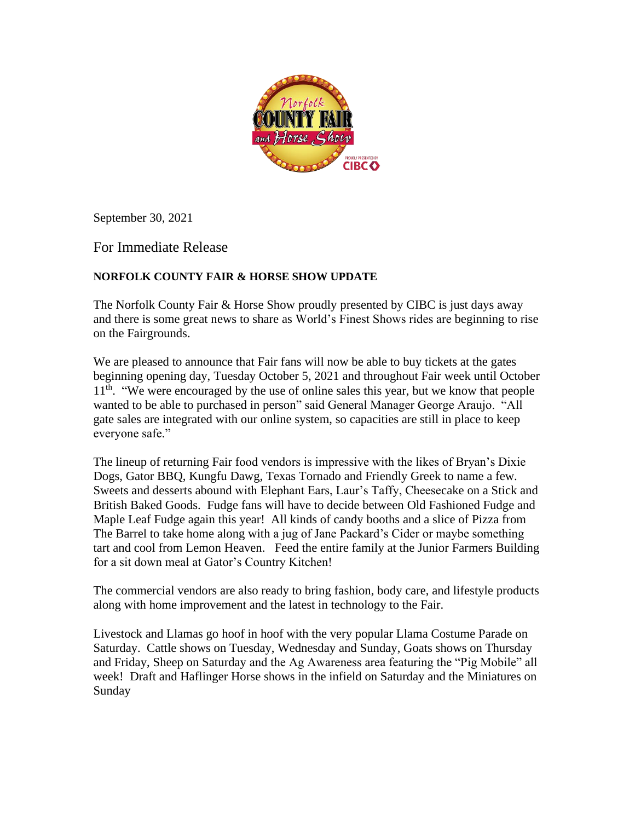

September 30, 2021

For Immediate Release

## **NORFOLK COUNTY FAIR & HORSE SHOW UPDATE**

The Norfolk County Fair & Horse Show proudly presented by CIBC is just days away and there is some great news to share as World's Finest Shows rides are beginning to rise on the Fairgrounds.

We are pleased to announce that Fair fans will now be able to buy tickets at the gates beginning opening day, Tuesday October 5, 2021 and throughout Fair week until October 11<sup>th</sup>. "We were encouraged by the use of online sales this year, but we know that people wanted to be able to purchased in person" said General Manager George Araujo. "All gate sales are integrated with our online system, so capacities are still in place to keep everyone safe."

The lineup of returning Fair food vendors is impressive with the likes of Bryan's Dixie Dogs, Gator BBQ, Kungfu Dawg, Texas Tornado and Friendly Greek to name a few. Sweets and desserts abound with Elephant Ears, Laur's Taffy, Cheesecake on a Stick and British Baked Goods. Fudge fans will have to decide between Old Fashioned Fudge and Maple Leaf Fudge again this year! All kinds of candy booths and a slice of Pizza from The Barrel to take home along with a jug of Jane Packard's Cider or maybe something tart and cool from Lemon Heaven. Feed the entire family at the Junior Farmers Building for a sit down meal at Gator's Country Kitchen!

The commercial vendors are also ready to bring fashion, body care, and lifestyle products along with home improvement and the latest in technology to the Fair.

Livestock and Llamas go hoof in hoof with the very popular Llama Costume Parade on Saturday. Cattle shows on Tuesday, Wednesday and Sunday, Goats shows on Thursday and Friday, Sheep on Saturday and the Ag Awareness area featuring the "Pig Mobile" all week! Draft and Haflinger Horse shows in the infield on Saturday and the Miniatures on Sunday